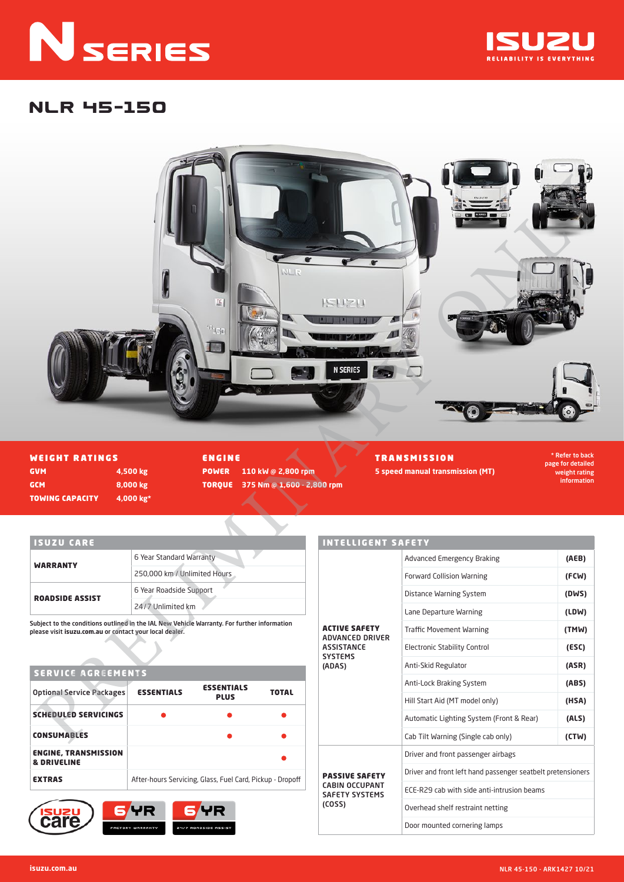# **N** SERIES



# NLR 45-150



WEIGHT RATINGS GVM **4,500 kg** GCM **8,000 kg** TOWING CAPACITY **4,000 kg\*** ENGINE

POWER **110 kW @ 2,800 rpm** TORQUE **375 Nm @ 1,600 - 2,800 rpm** TRANSMISSION

\* Refer to back page for detailed weight rating information

#### ISUZU CARE

| <b>WARRANTY</b>        | 6 Year Standard Warranty     |
|------------------------|------------------------------|
|                        | 250,000 km / Unlimited Hours |
| <b>ROADSIDE ASSIST</b> | 6 Year Roadside Support      |
|                        | 24/7 Unlimited km            |

Subject to the conditions outlined in the IAL New Vehicle Warranty. For further information please visit **isuzu.com.au** or contact your local dealer.

#### SERVICE AGREEMENTS

| <b>Optional Service Packages</b>                      | <b>ESSENTIALS</b> | <b>ESSENTIALS</b><br><b>PLUS</b>                          | <b>TOTAL</b> |
|-------------------------------------------------------|-------------------|-----------------------------------------------------------|--------------|
| <b>SCHEDULED SERVICINGS</b>                           |                   |                                                           |              |
| <b>CONSUMABLES</b>                                    |                   |                                                           |              |
| <b>ENGINE, TRANSMISSION</b><br><b>&amp; DRIVELINE</b> |                   |                                                           |              |
| <b>EXTRAS</b>                                         |                   | After-hours Servicing, Glass, Fuel Card, Pickup - Dropoff |              |



| <b>INTELLIGENT SAFETY</b>                                                         |                                                             |       |  |
|-----------------------------------------------------------------------------------|-------------------------------------------------------------|-------|--|
|                                                                                   | <b>Advanced Emergency Braking</b>                           | (AEB) |  |
|                                                                                   | <b>Forward Collision Warning</b>                            | (FCW) |  |
|                                                                                   | Distance Warning System                                     | (DWS) |  |
|                                                                                   | Lane Departure Warning                                      | (LDW) |  |
| <b>ACTIVE SAFETY</b><br><b>ADVANCED DRIVER</b>                                    | <b>Traffic Movement Warning</b>                             | (TMW) |  |
| <b>ASSISTANCE</b>                                                                 | <b>Electronic Stability Control</b>                         | (ESC) |  |
| <b>SYSTEMS</b><br>(ADAS)                                                          | Anti-Skid Regulator                                         | (ASR) |  |
|                                                                                   | Anti-Lock Braking System                                    | (ABS) |  |
|                                                                                   | Hill Start Aid (MT model only)                              | (HSA) |  |
|                                                                                   | Automatic Lighting System (Front & Rear)                    | (ALS) |  |
|                                                                                   | Cab Tilt Warning (Single cab only)                          | (CTW) |  |
|                                                                                   | Driver and front passenger airbags                          |       |  |
| <b>PASSIVE SAFETY</b><br><b>CABIN OCCUPANT</b><br><b>SAFETY SYSTEMS</b><br>(COSS) | Driver and front left hand passenger seatbelt pretensioners |       |  |
|                                                                                   | ECE-R29 cab with side anti-intrusion beams                  |       |  |
|                                                                                   | Overhead shelf restraint netting                            |       |  |
|                                                                                   | Door mounted cornering lamps                                |       |  |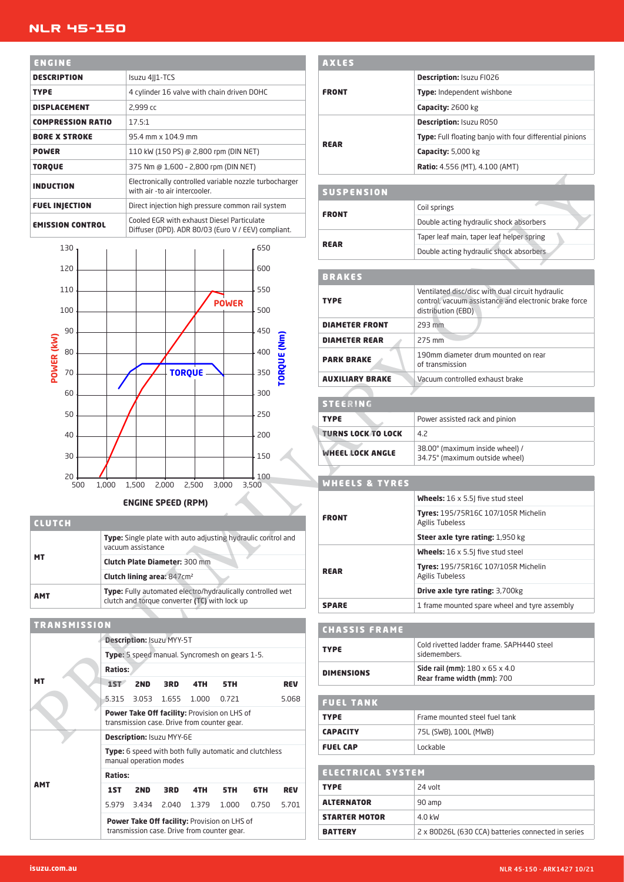### NLR 45-150

| ENGINE                   |                                                                                                   |
|--------------------------|---------------------------------------------------------------------------------------------------|
| <b>DESCRIPTION</b>       | Isuzu 4  1-TCS                                                                                    |
| <b>TYPE</b>              | 4 cylinder 16 valve with chain driven DOHC                                                        |
| <b>DISPLACEMENT</b>      | 2,999 cc                                                                                          |
| <b>COMPRESSION RATIO</b> | 17.5:1                                                                                            |
| <b>BORE X STROKE</b>     | 95.4 mm x 104.9 mm                                                                                |
| <b>POWER</b>             | 110 kW (150 PS) @ 2,800 rpm (DIN NET)                                                             |
| <b>TORQUE</b>            | 375 Nm @ 1,600 - 2,800 rpm (DIN NET)                                                              |
| <b>INDUCTION</b>         | Electronically controlled variable nozzle turbocharger<br>with air -to air intercooler.           |
| <b>FUEL INJECTION</b>    | Direct injection high pressure common rail system                                                 |
| <b>EMISSION CONTROL</b>  | Cooled EGR with exhaust Diesel Particulate<br>Diffuser (DPD). ADR 80/03 (Euro V / EEV) compliant. |



**ENGINE SPEED (RPM)**

| <b>CLUTCH</b> |                                                                                                                    |
|---------------|--------------------------------------------------------------------------------------------------------------------|
| <b>MT</b>     | Type: Single plate with auto adjusting hydraulic control and<br>vacuum assistance                                  |
|               | <b>Clutch Plate Diameter: 300 mm</b>                                                                               |
|               | Clutch lining area: 847cm <sup>2</sup>                                                                             |
| <b>AMT</b>    | <b>Type:</b> Fully automated electro/hydraulically controlled wet<br>clutch and torque converter (TC) with lock up |

| <b>TRANSMISSION</b> |                |                 |                           |                                                                                             |            |                                                               |            |
|---------------------|----------------|-----------------|---------------------------|---------------------------------------------------------------------------------------------|------------|---------------------------------------------------------------|------------|
|                     |                |                 | Description: Isuzu MYY-5T |                                                                                             |            |                                                               |            |
|                     |                |                 |                           | <b>Type:</b> 5 speed manual. Syncromesh on gears 1-5.                                       |            |                                                               |            |
|                     | <b>Ratios:</b> |                 |                           |                                                                                             |            |                                                               |            |
| мт                  | 1ST            | 2ND             | 3RD                       | 4TH                                                                                         | 5TH        |                                                               | <b>REV</b> |
|                     |                |                 | 5.315 3.053 1.655         | 1.000                                                                                       | 0.721      |                                                               | 5.068      |
|                     |                |                 |                           | Power Take Off facility: Provision on LHS of<br>transmission case. Drive from counter gear. |            |                                                               |            |
|                     |                |                 | Description: Isuzu MYY-6E |                                                                                             |            |                                                               |            |
|                     |                |                 | manual operation modes    |                                                                                             |            | <b>Type:</b> 6 speed with both fully automatic and clutchless |            |
|                     | <b>Ratios:</b> |                 |                           |                                                                                             |            |                                                               |            |
| AMT                 | 1ST            | 2 <sub>ND</sub> | 3RD                       | 4TH                                                                                         | <b>5TH</b> | 6TH                                                           | <b>REV</b> |
|                     |                | 5.979 3.434     | 2.040                     | 1.379                                                                                       | 1.000      | 0.750                                                         | 5.701      |
|                     |                |                 |                           | Power Take Off facility: Provision on LHS of<br>transmission case. Drive from counter gear. |            |                                                               |            |

| <b>AXLES</b>             |                                                          |
|--------------------------|----------------------------------------------------------|
| <b>FRONT</b>             | <b>Description: Isuzu FI026</b>                          |
|                          | <b>Type:</b> Independent wishbone                        |
|                          | Capacity: 2600 kg                                        |
| <b>REAR</b>              | <b>Description: Isuzu R050</b>                           |
|                          | Type: Full floating banjo with four differential pinions |
|                          | <b>Capacity: 5,000 kg</b>                                |
|                          | <b>Ratio:</b> 4.556 (MT), 4.100 (AMT)                    |
|                          |                                                          |
| 3 11 2 3 2 3 2 3 2 3 3 4 |                                                          |

| SUSPENSION   |                                           |
|--------------|-------------------------------------------|
| <b>FRONT</b> | Coil springs                              |
|              | Double acting hydraulic shock absorbers   |
| <b>REAR</b>  | Taper leaf main, taper leaf helper spring |
|              | Double acting hydraulic shock absorbers   |

#### BRAKES

| <b>TYPE</b>            | Ventilated disc/disc with dual circuit hydraulic<br>control, vacuum assistance and electronic brake force<br>distribution (EBD) |
|------------------------|---------------------------------------------------------------------------------------------------------------------------------|
| <b>DIAMETER FRONT</b>  | 293 mm                                                                                                                          |
| <b>DIAMETER REAR</b>   | $275$ mm                                                                                                                        |
| <b>PARK BRAKE</b>      | 190mm diameter drum mounted on rear<br>of transmission                                                                          |
| <b>AUXILIARY BRAKE</b> | Vacuum controlled exhaust brake                                                                                                 |

| ISTEERING                 |                                                                   |
|---------------------------|-------------------------------------------------------------------|
| <b>TYPE</b>               | Power assisted rack and pinion                                    |
| <b>TURNS LOCK TO LOCK</b> | 4.2                                                               |
| <b>WHEEL LOCK ANGLE</b>   | 38.00° (maximum inside wheel) /<br>34.75° (maximum outside wheel) |

## WHEELS & TYRES

| <b>FRONT</b> | <b>Wheels:</b> $16 \times 5.5$ five stud steel                       |
|--------------|----------------------------------------------------------------------|
|              | <b>Tyres: 195/75R16C 107/105R Michelin</b><br><b>Agilis Tubeless</b> |
|              | <b>Steer axle tyre rating: 1,950 kg</b>                              |
| <b>REAR</b>  | <b>Wheels:</b> $16 \times 5.5$ five stud steel                       |
|              | <b>Tyres: 195/75R16C 107/105R Michelin</b><br>Agilis Tubeless        |
|              | <b>Drive axle tyre rating: 3,700kg</b>                               |
| <b>SPARE</b> | 1 frame mounted spare wheel and tyre assembly                        |

| <b>CHASSIS FRAME</b> |                                                                          |
|----------------------|--------------------------------------------------------------------------|
| <b>TYPE</b>          | Cold rivetted ladder frame, SAPH440 steel<br>sidemembers.                |
| <b>DIMENSIONS</b>    | Side rail (mm): $180 \times 65 \times 4.0$<br>Rear frame width (mm): 700 |

| <b>FUEL TANK</b> |                               |
|------------------|-------------------------------|
| <b>TYPE</b>      | Frame mounted steel fuel tank |
| <b>CAPACITY</b>  | 75L (SWB), 100L (MWB)         |
| <b>FUEL CAP</b>  | Lockable                      |

| ' ELECTRICAL SYSTEM  |                                                    |  |  |  |
|----------------------|----------------------------------------------------|--|--|--|
| <b>TYPE</b>          | 24 volt                                            |  |  |  |
| <b>ALTERNATOR</b>    | 90 amp                                             |  |  |  |
| <b>STARTER MOTOR</b> | 4.0 kW                                             |  |  |  |
| <b>BATTERY</b>       | 2 x 80D26L (630 CCA) batteries connected in series |  |  |  |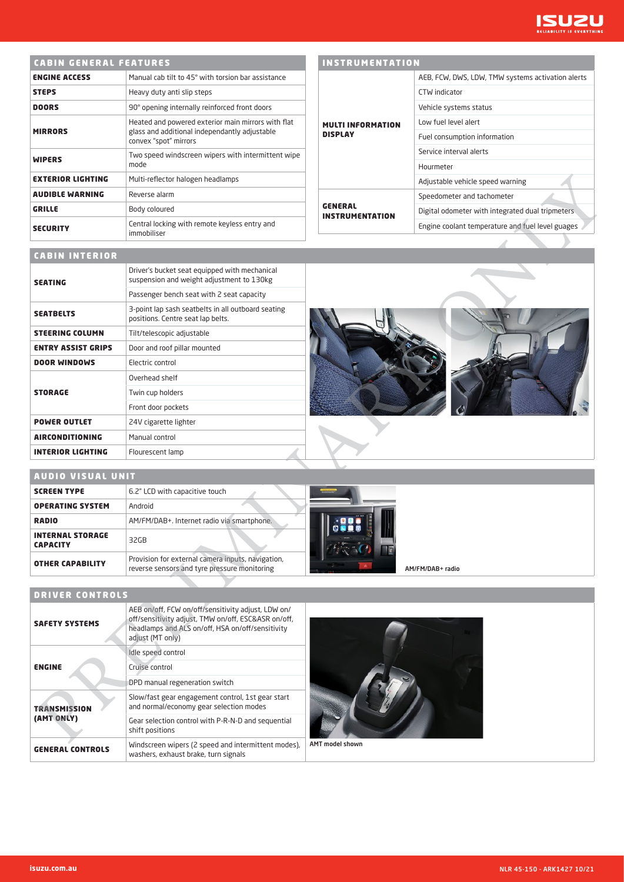

|                          | <b>CABIN GENERAL FEATURES</b>                                                                                                |  |  |  |  |  |
|--------------------------|------------------------------------------------------------------------------------------------------------------------------|--|--|--|--|--|
| <b>ENGINE ACCESS</b>     | Manual cab tilt to 45° with torsion har assistance                                                                           |  |  |  |  |  |
| <b>STEPS</b>             | Heavy duty anti slip steps                                                                                                   |  |  |  |  |  |
| <b>DOORS</b>             | 90° opening internally reinforced front doors                                                                                |  |  |  |  |  |
| <b>MIRRORS</b>           | Heated and powered exterior main mirrors with flat<br>glass and additional independantly adjustable<br>convex "spot" mirrors |  |  |  |  |  |
| <b>WIPERS</b>            | Two speed windscreen wipers with intermittent wipe<br>mode                                                                   |  |  |  |  |  |
| <b>EXTERIOR LIGHTING</b> | Multi-reflector halogen headlamps                                                                                            |  |  |  |  |  |
| <b>AUDIBLE WARNING</b>   | Reverse alarm                                                                                                                |  |  |  |  |  |
| <b>GRILLE</b>            | Body coloured                                                                                                                |  |  |  |  |  |
| <b>SECURITY</b>          | Central locking with remote keyless entry and<br>immobiliser                                                                 |  |  |  |  |  |

## INSTRUMENTATION

|                                          | AEB, FCW, DWS, LDW, TMW systems activation alerts |
|------------------------------------------|---------------------------------------------------|
|                                          | <b>CTW</b> indicator                              |
|                                          | Vehicle systems status                            |
| <b>MULTI INFORMATION</b>                 | Low fuel level alert                              |
| <b>DISPLAY</b>                           | Fuel consumption information                      |
|                                          | Service interval alerts                           |
|                                          | Hourmeter                                         |
|                                          | Adjustable vehicle speed warning                  |
| <b>GENERAL</b><br><b>INSTRUMENTATION</b> | Speedometer and tachometer                        |
|                                          | Digital odometer with integrated dual tripmeters  |
|                                          | Engine coolant temperature and fuel level guages  |

## CABIN INTERIOR

| <b>EXTERIOR LIGHTING</b>                   | Multi-reflector halogen headlamps                                                                                                                                                 |                                          | Adjustable vehicle speed warning                 |
|--------------------------------------------|-----------------------------------------------------------------------------------------------------------------------------------------------------------------------------------|------------------------------------------|--------------------------------------------------|
| <b>AUDIBLE WARNING</b>                     | Reverse alarm                                                                                                                                                                     |                                          | Speedometer and tachometer                       |
| GRILLE                                     | Body coloured                                                                                                                                                                     | <b>GENERAL</b><br><b>INSTRUMENTATION</b> | Digital odometer with integrated dual tripmeters |
| <b>SECURITY</b>                            | Central locking with remote keyless entry and<br>immobiliser                                                                                                                      |                                          | Engine coolant temperature and fuel level guages |
| <b>CABIN INTERIOR</b>                      |                                                                                                                                                                                   |                                          |                                                  |
| <b>SEATING</b>                             | Driver's bucket seat equipped with mechanical<br>suspension and weight adjustment to 130kg                                                                                        |                                          |                                                  |
|                                            | Passenger bench seat with 2 seat capacity                                                                                                                                         |                                          |                                                  |
| <b>SEATBELTS</b>                           | 3-point lap sash seatbelts in all outboard seating<br>positions. Centre seat lap belts.                                                                                           |                                          |                                                  |
| <b>STEERING COLUMN</b>                     | Tilt/telescopic adjustable                                                                                                                                                        |                                          |                                                  |
| <b>ENTRY ASSIST GRIPS</b>                  | Door and roof pillar mounted                                                                                                                                                      |                                          |                                                  |
| <b>DOOR WINDOWS</b>                        | Electric control                                                                                                                                                                  |                                          |                                                  |
|                                            | Overhead shelf                                                                                                                                                                    |                                          |                                                  |
| <b>STORAGE</b>                             | Twin cup holders                                                                                                                                                                  |                                          |                                                  |
|                                            | Front door pockets                                                                                                                                                                |                                          |                                                  |
| <b>POWER OUTLET</b>                        | 24V cigarette lighter                                                                                                                                                             |                                          |                                                  |
| <b>AIRCONDITIONING</b>                     | Manual control                                                                                                                                                                    |                                          |                                                  |
| <b>INTERIOR LIGHTING</b>                   | Flourescent lamp                                                                                                                                                                  |                                          |                                                  |
| <b>AUDIO VISUAL UNIT</b>                   |                                                                                                                                                                                   |                                          |                                                  |
| <b>SCREEN TYPE</b>                         | 6.2" LCD with capacitive touch                                                                                                                                                    |                                          |                                                  |
| <b>OPERATING SYSTEM</b>                    | Android                                                                                                                                                                           |                                          |                                                  |
| <b>RADIO</b>                               | AM/FM/DAB+. Internet radio via smartphone.                                                                                                                                        |                                          |                                                  |
| <b>INTERNAL STORAGE</b><br><b>CAPACITY</b> | 32GB                                                                                                                                                                              |                                          |                                                  |
| <b>OTHER CAPABILITY</b>                    | Provision for external camera inputs, navigation,<br>reverse sensors and tyre pressure monitoring                                                                                 |                                          | AM/FM/DAB+ radio                                 |
|                                            |                                                                                                                                                                                   |                                          |                                                  |
| <b>DRIVER CONTROLS</b>                     |                                                                                                                                                                                   |                                          |                                                  |
| <b>SAFETY SYSTEMS</b>                      | AEB on/off, FCW on/off/sensitivity adjust, LDW on/<br>off/sensitivity adjust, TMW on/off, ESC&ASR on/off,<br>headlamps and ALS on/off, HSA on/off/sensitivity<br>adjust (MT only) |                                          |                                                  |
| <b>ENGINE</b>                              | Idle speed control<br>Cruise control                                                                                                                                              |                                          |                                                  |
|                                            | DPD manual regeneration switch                                                                                                                                                    |                                          |                                                  |
| <b>TRANSMISSION</b>                        | Slow/fast gear engagement control, 1st gear start<br>and normal/economy gear selection modes                                                                                      |                                          |                                                  |
| (AMT ONLY)                                 | Gear selection control with P-R-N-D and sequential<br>shift positions                                                                                                             |                                          |                                                  |
|                                            |                                                                                                                                                                                   |                                          |                                                  |



| <b>SCREEN TYPE</b>                         | 6.2" LCD with capacitive touch                                                                    |                  |
|--------------------------------------------|---------------------------------------------------------------------------------------------------|------------------|
| <b>OPERATING SYSTEM</b>                    | Android                                                                                           |                  |
| <b>RADIO</b>                               | AM/FM/DAB+. Internet radio via smartphone.                                                        |                  |
| <b>INTERNAL STORAGE</b><br><b>CAPACITY</b> | 32GB                                                                                              |                  |
| <b>OTHER CAPABILITY</b>                    | Provision for external camera inputs, navigation,<br>reverse sensors and tyre pressure monitoring | AM/FM/DAB+ radio |

## DRIVER CONTROLS

| <b>SAFETY SYSTEMS</b>   | AEB on/off, FCW on/off/sensitivity adjust, LDW on/<br>off/sensitivity adjust, TMW on/off, ESC&ASR on/off,<br>headlamps and ALS on/off, HSA on/off/sensitivity<br>adjust (MT only) |                 |
|-------------------------|-----------------------------------------------------------------------------------------------------------------------------------------------------------------------------------|-----------------|
|                         | Idle speed control                                                                                                                                                                |                 |
| <b>ENGINE</b>           | Cruise control                                                                                                                                                                    |                 |
|                         | DPD manual regeneration switch                                                                                                                                                    |                 |
| <b>TRANSMISSION</b>     | Slow/fast gear engagement control, 1st gear start<br>and normal/economy gear selection modes                                                                                      |                 |
| (AMT ONLY)              | Gear selection control with P-R-N-D and sequential<br>shift positions                                                                                                             |                 |
| <b>GENERAL CONTROLS</b> | Windscreen wipers (2 speed and intermittent modes),<br>washers, exhaust brake, turn signals                                                                                       | AMT model shown |